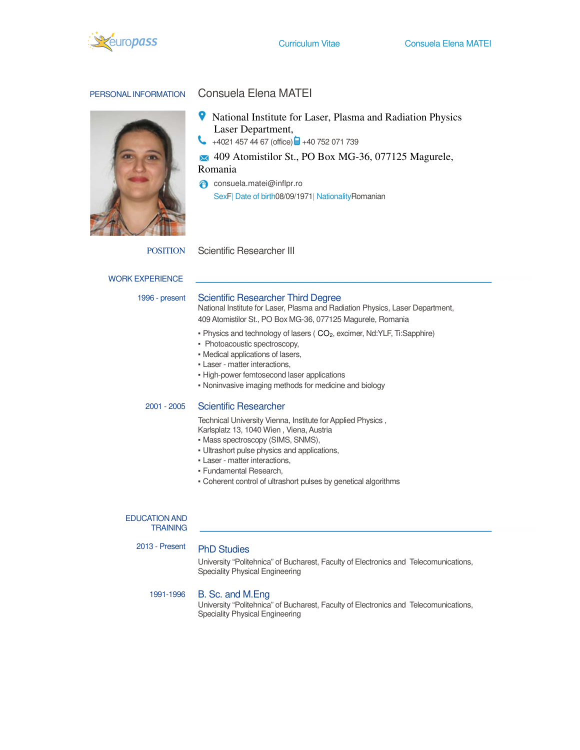

# PERSONAL INFORMATION Consuela Elena MATEI

- National Institute for Laser, Plasma and Radiation Physics Laser Department,
- $\leftrightarrow$  +4021 457 44 67 (office)  $\bullet$  +40 752 071 739
- 409 Atomistilor St., PO Box MG-36, 077125 Magurele,

Romania

consuela.matei@inflpr.ro SexF| Date of birth08/09/1971| NationalityRomanian

POSITION Scientific Researcher III

### WORK EXPERIENCE

### 1996 - present Scientific Researcher Third Degree

National Institute for Laser, Plasma and Radiation Physics, Laser Department, 409 Atomistilor St., PO Box MG-36, 077125 Magurele, Romania

- Physics and technology of lasers ( CO2, excimer, Nd:YLF, Ti:Sapphire)
- Photoacoustic spectroscopy,
- Medical applications of lasers,
- **Laser matter interactions,**
- **.** High-power femtosecond laser applications
- Noninvasive imaging methods for medicine and biology

# 2001 - 2005 Scientific Researcher

Technical University Vienna, Institute for Applied Physics , Karlsplatz 13, 1040 Wien , Viena, Austria

- Mass spectroscopy (SIMS, SNMS),
- Ultrashort pulse physics and applications,
- **Laser matter interactions.**
- Fundamental Research,
- Coherent control of ultrashort pulses by genetical algorithms

#### EDUCATION AND **TRAINING**

2013 - Present PhD Studies

University "Politehnica" of Bucharest, Faculty of Electronics and Telecomunications, Speciality Physical Engineering

# 1991-1996 B. Sc. and M.Eng

University "Politehnica" of Bucharest, Faculty of Electronics and Telecomunications, Speciality Physical Engineering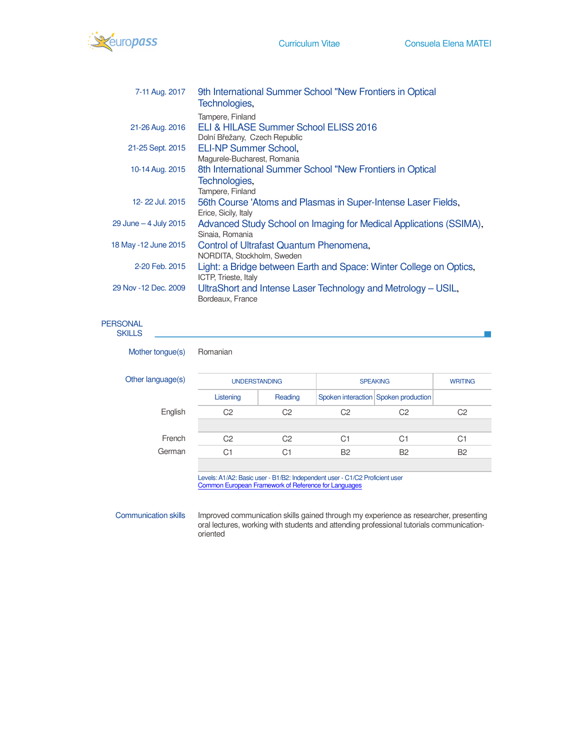

| 7-11 Aug. 2017         | 9th International Summer School "New Frontiers in Optical<br>Technologies, |
|------------------------|----------------------------------------------------------------------------|
|                        | Tampere, Finland                                                           |
| 21-26 Aug. 2016        | ELI & HILASE Summer School ELISS 2016                                      |
|                        | Dolní Břežany, Czech Republic                                              |
| 21-25 Sept. 2015       | <b>ELI-NP Summer School,</b>                                               |
|                        | Magurele-Bucharest, Romania                                                |
| 10-14 Aug. 2015        | 8th International Summer School "New Frontiers in Optical                  |
|                        | Technologies,                                                              |
|                        | Tampere, Finland                                                           |
| 12-22 Jul. 2015        | 56th Course 'Atoms and Plasmas in Super-Intense Laser Fields,              |
|                        | Erice, Sicily, Italy                                                       |
| 29 June $-4$ July 2015 | Advanced Study School on Imaging for Medical Applications (SSIMA),         |
|                        | Sinaia, Romania                                                            |
| 18 May -12 June 2015   | Control of Ultrafast Quantum Phenomena,                                    |
|                        | NORDITA, Stockholm, Sweden                                                 |
| 2-20 Feb. 2015         | Light: a Bridge between Earth and Space: Winter College on Optics,         |
|                        | <b>ICTP, Trieste, Italy</b>                                                |
| 29 Nov - 12 Dec. 2009  | UltraShort and Intense Laser Technology and Metrology – USIL,              |
|                        | Bordeaux, France                                                           |

# PERSONAL

| Other language(s) | <b>UNDERSTANDING</b> |                | <b>SPEAKING</b> |                                      | <b>WRITING</b> |
|-------------------|----------------------|----------------|-----------------|--------------------------------------|----------------|
|                   | Listening            | Reading        |                 | Spoken interaction Spoken production |                |
| English           | C <sub>2</sub>       | C <sub>2</sub> | C2              | C <sub>2</sub>                       | C <sub>2</sub> |
| French            | C <sub>2</sub>       | C <sub>2</sub> | C <sub>1</sub>  | C <sub>1</sub>                       | C <sub>1</sub> |
| German            | C <sub>1</sub>       | C <sub>1</sub> | B <sub>2</sub>  | <b>B2</b>                            | <b>B2</b>      |

Communication skills Improved communication skills gained through my experience as researcher, presenting oral lectures, working with students and attending professional tutorials communicationoriented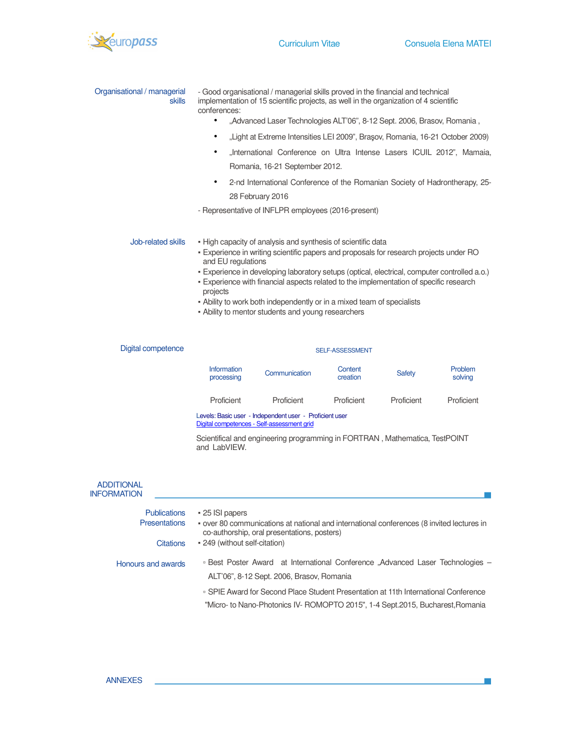

 $\mathbf{r}$ 

| Organisational / managerial<br><b>skills</b> | - Good organisational / managerial skills proved in the financial and technical<br>implementation of 15 scientific projects, as well in the organization of 4 scientific<br>conferences:                                                                                                                                                                                                                                                                                                                           |               |                     |               |                    |
|----------------------------------------------|--------------------------------------------------------------------------------------------------------------------------------------------------------------------------------------------------------------------------------------------------------------------------------------------------------------------------------------------------------------------------------------------------------------------------------------------------------------------------------------------------------------------|---------------|---------------------|---------------|--------------------|
|                                              | "Advanced Laser Technologies ALT'06", 8-12 Sept. 2006, Brasov, Romania,<br>$\bullet$                                                                                                                                                                                                                                                                                                                                                                                                                               |               |                     |               |                    |
|                                              | "Light at Extreme Intensities LEI 2009", Brașov, Romania, 16-21 October 2009)<br>$\bullet$                                                                                                                                                                                                                                                                                                                                                                                                                         |               |                     |               |                    |
|                                              | "International Conference on Ultra Intense Lasers ICUIL 2012", Mamaia,<br>$\bullet$                                                                                                                                                                                                                                                                                                                                                                                                                                |               |                     |               |                    |
|                                              | Romania, 16-21 September 2012.<br>2-nd International Conference of the Romanian Society of Hadrontherapy, 25-<br>$\bullet$<br>28 February 2016                                                                                                                                                                                                                                                                                                                                                                     |               |                     |               |                    |
|                                              |                                                                                                                                                                                                                                                                                                                                                                                                                                                                                                                    |               |                     |               |                    |
| Job-related skills                           | - High capacity of analysis and synthesis of scientific data<br>- Experience in writing scientific papers and proposals for research projects under RO<br>and EU regulations<br>- Experience in developing laboratory setups (optical, electrical, computer controlled a.o.)<br>- Experience with financial aspects related to the implementation of specific research<br>projects<br>- Ability to work both independently or in a mixed team of specialists<br>- Ability to mentor students and young researchers |               |                     |               |                    |
| Digital competence                           | SELF-ASSESSMENT                                                                                                                                                                                                                                                                                                                                                                                                                                                                                                    |               |                     |               |                    |
|                                              | Information<br>processing                                                                                                                                                                                                                                                                                                                                                                                                                                                                                          | Communication | Content<br>creation | <b>Safety</b> | Problem<br>solving |
|                                              | Proficient                                                                                                                                                                                                                                                                                                                                                                                                                                                                                                         | Proficient    | Proficient          | Proficient    | Proficient         |

Levels: Basic user - Independent user - Proficient user Digital competences - Self-assessment grid

Scientifical and engineering programming in FORTRAN , Mathematica, TestPOINT and LabVIEW.

| <b>ADDITIONAL</b><br><b>INFORMATION</b> |                                                                                                                                          |
|-----------------------------------------|------------------------------------------------------------------------------------------------------------------------------------------|
| <b>Publications</b>                     | • 25 ISI papers                                                                                                                          |
| <b>Presentations</b>                    | - over 80 communications at national and international conferences (8 invited lectures in<br>co-authorship, oral presentations, posters) |
| <b>Citations</b>                        | • 249 (without self-citation)                                                                                                            |
| Honours and awards                      | - Best Poster Award at International Conference "Advanced Laser Technologies –                                                           |
|                                         | ALT'06", 8-12 Sept. 2006, Brasov, Romania                                                                                                |
|                                         | □ SPIE Award for Second Place Student Presentation at 11th International Conference                                                      |
|                                         | "Micro- to Nano-Photonics IV- ROMOPTO 2015", 1-4 Sept.2015, Bucharest.Romania                                                            |